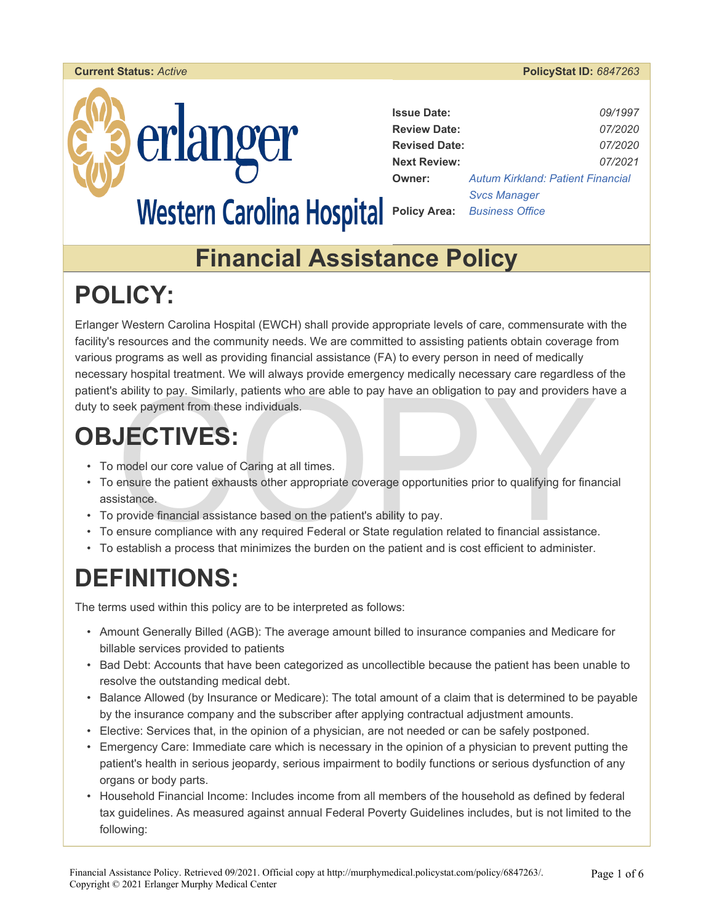



| <b>Issue Date:</b>   | 09/1997                                  |
|----------------------|------------------------------------------|
| <b>Review Date:</b>  | 07/2020                                  |
| <b>Revised Date:</b> | 07/2020                                  |
| <b>Next Review:</b>  | 07/2021                                  |
| <b>Owner:</b>        | <b>Autum Kirkland: Patient Financial</b> |
|                      | <b>Svcs Manager</b>                      |
|                      | <b>Policy Area:</b> Business Office      |

## **Financial Assistance Policy**

# **POLICY:**

Erlanger Western Carolina Hospital (EWCH) shall provide appropriate levels of care, commensurate with the facility's resources and the community needs. We are committed to assisting patients obtain coverage from various programs as well as providing financial assistance (FA) to every person in need of medically necessary hospital treatment. We will always provide emergency medically necessary care regardless of the patient's ability to pay. Similarly, patients who are able to pay have an obligation to pay and providers have a duty to seek payment from these individuals.

# **OBJECTIVES:**

- To model our core value of Caring at all times.
- Fractive pay. Similarly, patients who are able to pay have an obligation to pay and providers have a seek payment from these individuals.<br>
Seek payment from these individuals.<br>
Seek payment from these individuals.<br>
Fractio • To ensure the patient exhausts other appropriate coverage opportunities prior to qualifying for financial assistance.
- To provide financial assistance based on the patient's ability to pay.
- To ensure compliance with any required Federal or State regulation related to financial assistance.
- To establish a process that minimizes the burden on the patient and is cost efficient to administer.

# **DEFINITIONS:**

The terms used within this policy are to be interpreted as follows:

- Amount Generally Billed (AGB): The average amount billed to insurance companies and Medicare for billable services provided to patients
- Bad Debt: Accounts that have been categorized as uncollectible because the patient has been unable to resolve the outstanding medical debt.
- Balance Allowed (by Insurance or Medicare): The total amount of a claim that is determined to be payable by the insurance company and the subscriber after applying contractual adjustment amounts.
- Elective: Services that, in the opinion of a physician, are not needed or can be safely postponed.
- Emergency Care: Immediate care which is necessary in the opinion of a physician to prevent putting the patient's health in serious jeopardy, serious impairment to bodily functions or serious dysfunction of any organs or body parts.
- Household Financial Income: Includes income from all members of the household as defined by federal tax guidelines. As measured against annual Federal Poverty Guidelines includes, but is not limited to the following: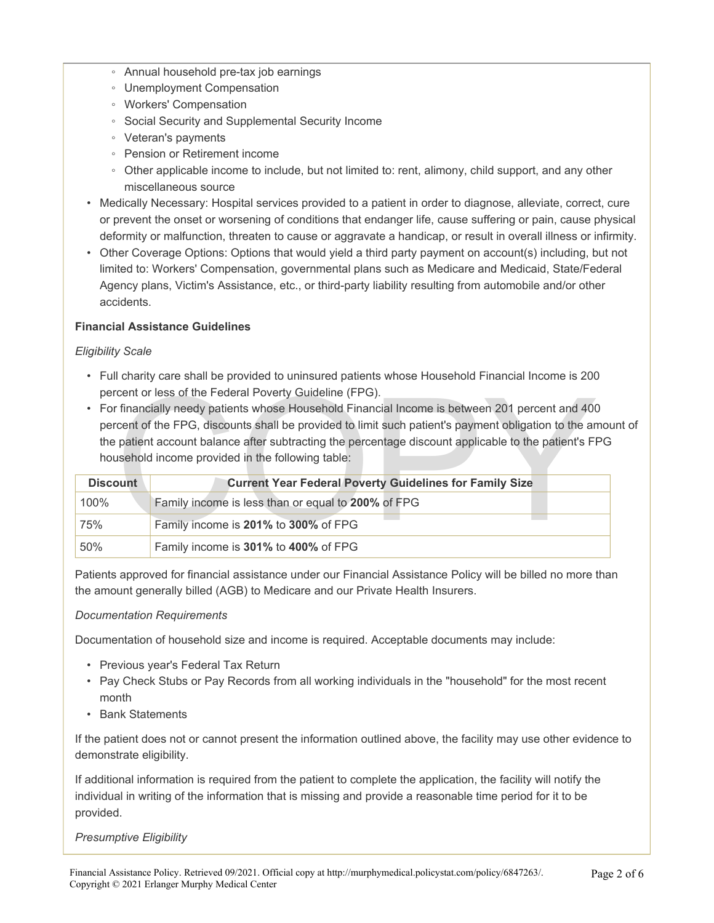- Annual household pre-tax job earnings
- Unemployment Compensation
- Workers' Compensation
- Social Security and Supplemental Security Income
- Veteran's payments
- Pension or Retirement income
- Other applicable income to include, but not limited to: rent, alimony, child support, and any other miscellaneous source
- Medically Necessary: Hospital services provided to a patient in order to diagnose, alleviate, correct, cure or prevent the onset or worsening of conditions that endanger life, cause suffering or pain, cause physical deformity or malfunction, threaten to cause or aggravate a handicap, or result in overall illness or infirmity.
- Other Coverage Options: Options that would yield a third party payment on account(s) including, but not limited to: Workers' Compensation, governmental plans such as Medicare and Medicaid, State/Federal Agency plans, Victim's Assistance, etc., or third-party liability resulting from automobile and/or other accidents.

### **Financial Assistance Guidelines**

### *Eligibility Scale*

- Full charity care shall be provided to uninsured patients whose Household Financial Income is 200 percent or less of the Federal Poverty Guideline (FPG).
- For financially needy patients whose Household Financial Income is between 201 percent and 400 percent of the FPG, discounts shall be provided to limit such patient's payment obligation to the amount of the patient account balance after subtracting the percentage discount applicable to the patient's FPG household income provided in the following table:

|                 | percent or less of the Federal Poverty Guideline (FPG).                                               |
|-----------------|-------------------------------------------------------------------------------------------------------|
|                 | • For financially needy patients whose Household Financial Income is between 201 percent and 400      |
|                 | percent of the FPG, discounts shall be provided to limit such patient's payment obligation to the ame |
|                 | the patient account balance after subtracting the percentage discount applicable to the patient's FP  |
|                 | household income provided in the following table:                                                     |
|                 |                                                                                                       |
| <b>Discount</b> | <b>Current Year Federal Poverty Guidelines for Family Size</b>                                        |
| 100%            | Family income is less than or equal to 200% of FPG                                                    |
| 75%             | Family income is 201% to 300% of FPG                                                                  |

Patients approved for financial assistance under our Financial Assistance Policy will be billed no more than the amount generally billed (AGB) to Medicare and our Private Health Insurers.

### *Documentation Requirements*

Documentation of household size and income is required. Acceptable documents may include:

- Previous year's Federal Tax Return
- Pay Check Stubs or Pay Records from all working individuals in the "household" for the most recent month
- Bank Statements

If the patient does not or cannot present the information outlined above, the facility may use other evidence to demonstrate eligibility.

If additional information is required from the patient to complete the application, the facility will notify the individual in writing of the information that is missing and provide a reasonable time period for it to be provided.

### *Presumptive Eligibility*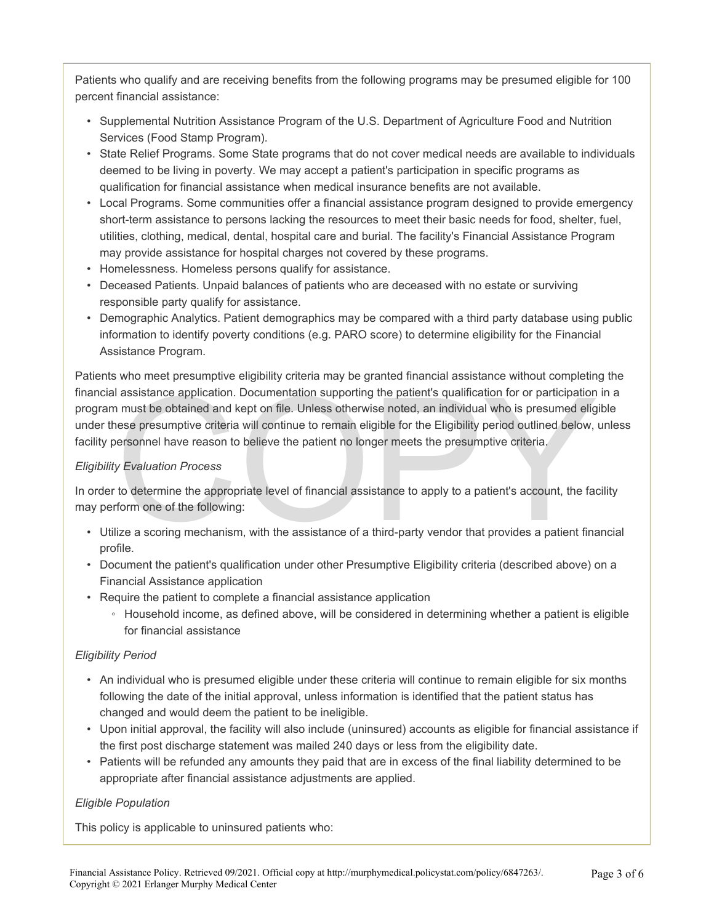Patients who qualify and are receiving benefits from the following programs may be presumed eligible for 100 percent financial assistance:

- Supplemental Nutrition Assistance Program of the U.S. Department of Agriculture Food and Nutrition Services (Food Stamp Program)*.*
- State Relief Programs. Some State programs that do not cover medical needs are available to individuals deemed to be living in poverty. We may accept a patient's participation in specific programs as qualification for financial assistance when medical insurance benefits are not available.
- Local Programs. Some communities offer a financial assistance program designed to provide emergency short-term assistance to persons lacking the resources to meet their basic needs for food, shelter, fuel, utilities, clothing, medical, dental, hospital care and burial. The facility's Financial Assistance Program may provide assistance for hospital charges not covered by these programs.
- Homelessness. Homeless persons qualify for assistance.
- Deceased Patients. Unpaid balances of patients who are deceased with no estate or surviving responsible party qualify for assistance.
- Demographic Analytics. Patient demographics may be compared with a third party database using public information to identify poverty conditions (e.g. PARO score) to determine eligibility for the Financial Assistance Program.

I assistance application. Documentation supporting the patient's qualification for or participation<br>
In must be obtained and kept on file. Unless otherwise noted, an individual who is presumed eligities<br>
interest presumpti Patients who meet presumptive eligibility criteria may be granted financial assistance without completing the financial assistance application. Documentation supporting the patient's qualification for or participation in a program must be obtained and kept on file. Unless otherwise noted, an individual who is presumed eligible under these presumptive criteria will continue to remain eligible for the Eligibility period outlined below, unless facility personnel have reason to believe the patient no longer meets the presumptive criteria.

#### *Eligibility Evaluation Process*

In order to determine the appropriate level of financial assistance to apply to a patient's account, the facility may perform one of the following:

- Utilize a scoring mechanism, with the assistance of a third-party vendor that provides a patient financial profile.
- Document the patient's qualification under other Presumptive Eligibility criteria (described above) on a Financial Assistance application
- Require the patient to complete a financial assistance application
	- Household income, as defined above, will be considered in determining whether a patient is eligible for financial assistance

### *Eligibility Period*

- An individual who is presumed eligible under these criteria will continue to remain eligible for six months following the date of the initial approval, unless information is identified that the patient status has changed and would deem the patient to be ineligible.
- Upon initial approval, the facility will also include (uninsured) accounts as eligible for financial assistance if the first post discharge statement was mailed 240 days or less from the eligibility date.
- Patients will be refunded any amounts they paid that are in excess of the final liability determined to be appropriate after financial assistance adjustments are applied.

### *Eligible Population*

This policy is applicable to uninsured patients who: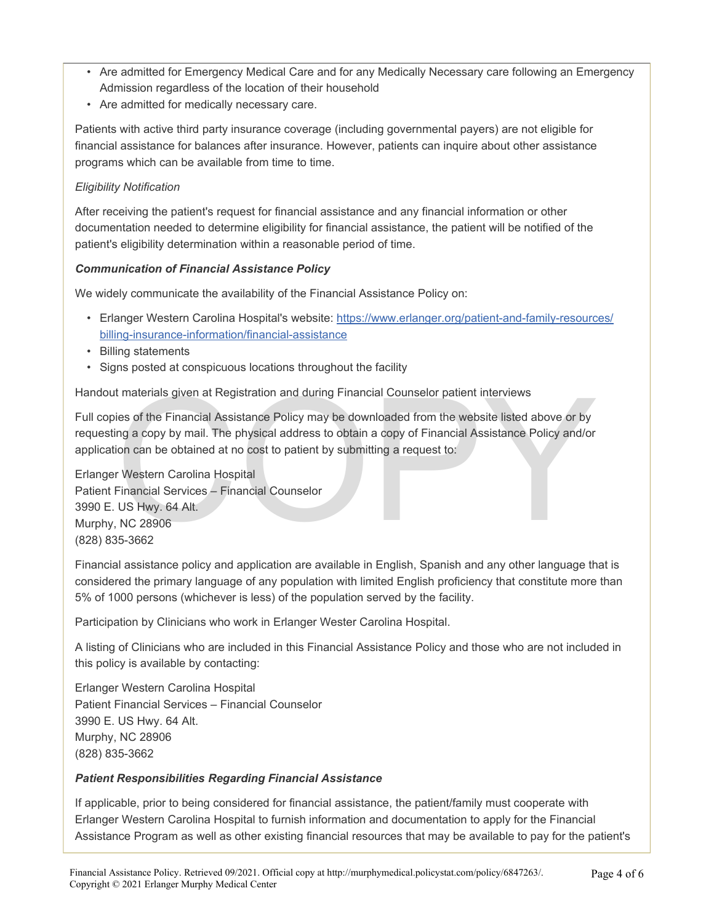- Are admitted for Emergency Medical Care and for any Medically Necessary care following an Emergency Admission regardless of the location of their household
- Are admitted for medically necessary care.

Patients with active third party insurance coverage (including governmental payers) are not eligible for financial assistance for balances after insurance. However, patients can inquire about other assistance programs which can be available from time to time.

#### *Eligibility Notification*

After receiving the patient's request for financial assistance and any financial information or other documentation needed to determine eligibility for financial assistance, the patient will be notified of the patient's eligibility determination within a reasonable period of time.

#### *Communication of Financial Assistance Policy*

We widely communicate the availability of the Financial Assistance Policy on:

- Erlanger Western Carolina Hospital's website: https://www.erlanger.org/patient-and-family-resources/ billing-insurance-information/financial-assistance
- Billing statements
- Signs posted at conspicuous locations throughout the facility

Handout materials given at Registration and during Financial Counselor patient interviews

t materials given at Registration and during Financial Counselor patient interviews<br>ies of the Financial Assistance Policy may be downloaded from the website listed above or by<br>ing a copy by mail. The physical address to o Full copies of the Financial Assistance Policy may be downloaded from the website listed above or by requesting a copy by mail. The physical address to obtain a copy of Financial Assistance Policy and/or application can be obtained at no cost to patient by submitting a request to:

Erlanger Western Carolina Hospital Patient Financial Services – Financial Counselor 3990 E. US Hwy. 64 Alt. Murphy, NC 28906 (828) 835-3662

Financial assistance policy and application are available in English, Spanish and any other language that is considered the primary language of any population with limited English proficiency that constitute more than 5% of 1000 persons (whichever is less) of the population served by the facility.

Participation by Clinicians who work in Erlanger Wester Carolina Hospital.

A listing of Clinicians who are included in this Financial Assistance Policy and those who are not included in this policy is available by contacting:

Erlanger Western Carolina Hospital Patient Financial Services – Financial Counselor 3990 E. US Hwy. 64 Alt. Murphy, NC 28906 (828) 835-3662

#### *Patient Responsibilities Regarding Financial Assistance*

If applicable, prior to being considered for financial assistance, the patient/family must cooperate with Erlanger Western Carolina Hospital to furnish information and documentation to apply for the Financial Assistance Program as well as other existing financial resources that may be available to pay for the patient's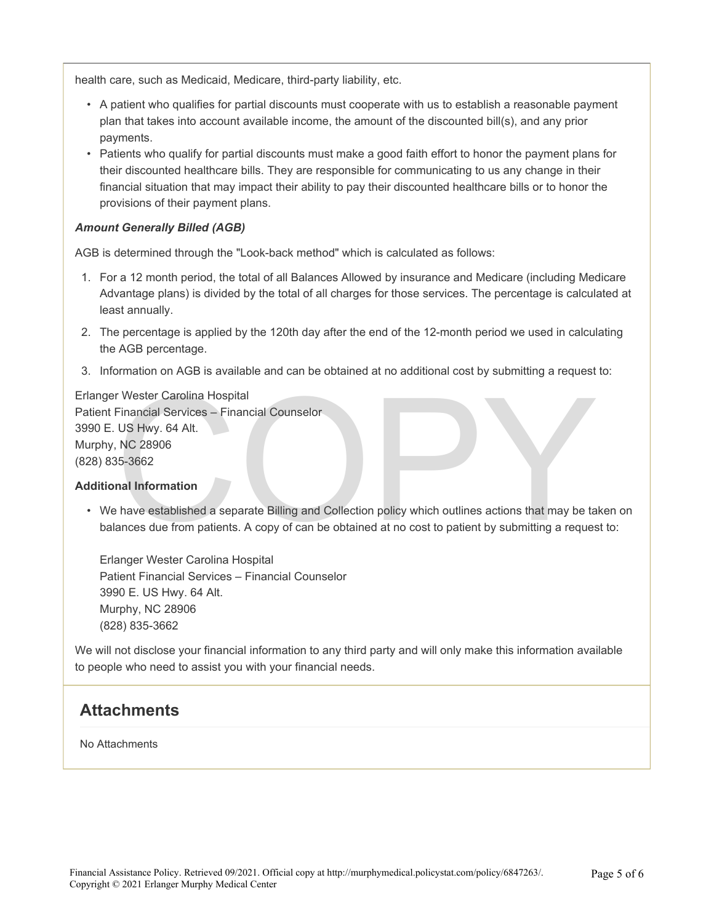health care, such as Medicaid, Medicare, third-party liability, etc.

- A patient who qualifies for partial discounts must cooperate with us to establish a reasonable payment plan that takes into account available income, the amount of the discounted bill(s), and any prior payments.
- Patients who qualify for partial discounts must make a good faith effort to honor the payment plans for their discounted healthcare bills. They are responsible for communicating to us any change in their financial situation that may impact their ability to pay their discounted healthcare bills or to honor the provisions of their payment plans.

#### *Amount Generally Billed (AGB)*

AGB is determined through the "Look-back method" which is calculated as follows:

- 1. For a 12 month period, the total of all Balances Allowed by insurance and Medicare (including Medicare Advantage plans) is divided by the total of all charges for those services. The percentage is calculated at least annually.
- 2. The percentage is applied by the 120th day after the end of the 12-month period we used in calculating the AGB percentage.
- 3. Information on AGB is available and can be obtained at no additional cost by submitting a request to:

r Wester Carolina Hospital<br>
US Hwy. 64 Alt.<br>
NC 28906<br>
15-3662<br>
Independent of the Billing and Collection policy which outlines actions that may be taken established a separate Billing and Collection policy which outlines Erlanger Wester Carolina Hospital Patient Financial Services – Financial Counselor 3990 E. US Hwy. 64 Alt. Murphy, NC 28906 (828) 835-3662

#### **Additional Information**

• We have established a separate Billing and Collection policy which outlines actions that may be taken on balances due from patients. A copy of can be obtained at no cost to patient by submitting a request to:

Erlanger Wester Carolina Hospital Patient Financial Services – Financial Counselor 3990 E. US Hwy. 64 Alt. Murphy, NC 28906 (828) 835-3662

We will not disclose your financial information to any third party and will only make this information available to people who need to assist you with your financial needs.

### **Attachments**

No Attachments